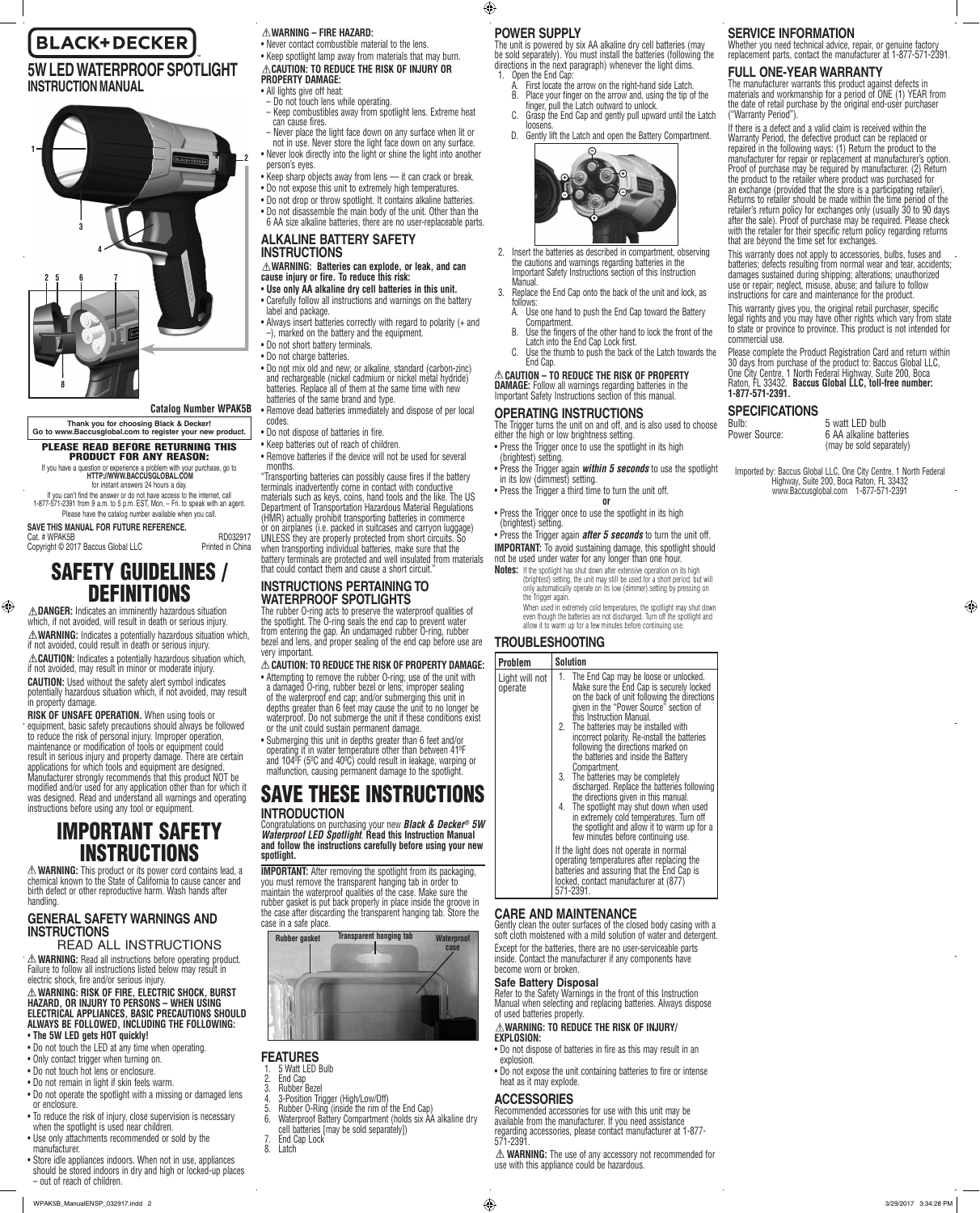# **BLACK+DECKER**

# **5W LED WATERPROOF SPOTLIGHT INSTRUCTION MANUAL**



**Catalog Number WPAK5B**

**Thank you for choosing Black & Decker! Go to www.Baccusglobal.com to register your new product.**

#### PLEASE READ BEFORE RETURNING THIS PRODUCT FOR ANY REASON: If you have a question or experience a problem with your purchase, go to

**HTTP://WWW.BACCUSGLOBAL.COM** for instant answers 24 hours a day.

If you can't find the answer or do not have access to the internet, call 1-877-571-2391 from 9 a.m. to 5 p.m. EST, Mon. – Fri. to speak with an agent. Please have the catalog number available when you call.

**SAVE THIS MANUAL FOR FUTURE REFERENCE.** Cat. # WPAK5B RD032917 Copyright © 2017 Baccus Global LLC Printed in China

⊕

SAFETY GUIDELINES / DEFINITIONS

**DANGER:** Indicates an imminently hazardous situation which, if not avoided, will result in death or serious injury. **WARNING:** Indicates a potentially hazardous situation which, if not avoided, could result in death or serious injury. **CAUTION:** Indicates a potentially hazardous situation which, if not avoided, may result in minor or moderate injury. **CAUTION:** Used without the safety alert symbol indicates potentially hazardous situation which, if not avoided, may result in property damage.

**RISK OF UNSAFE OPERATION.** When using tools or equipment, basic safety precautions should always be followed to reduce the risk of personal injury. Improper operation, maintenance or modification of tools or equipment could result in serious injury and property damage. There are certain applications for which tools and equipment are designed. Manufacturer strongly recommends that this product NOT be modified and/or used for any application other than for which it was designed. Read and understand all warnings and operating instructions before using any tool or equipment.

# IMPORTANT SAFETY INSTRUCTIONS

**WARNING:** This product or its power cord contains lead, a chemical known to the State of California to cause cancer and birth defect or other reproductive harm. Wash hands after handling.

# **GENERAL SAFETY WARNINGS AND INSTRUCTIONS**

READ ALL INSTRUCTIONS **WARNING:** Read all instructions before operating product. Failure to follow all instructions listed below may result in electric shock, fire and/or serious injury.

**WARNING: RISK OF FIRE, ELECTRIC SHOCK, BURST HAZARD, OR INJURY TO PERSONS – WHEN USING ELECTRICAL APPLIANCES, BASIC PRECAUTIONS SHOULD ALWAYS BE FOLLOWED, INCLUDING THE FOLLOWING:**

- • **The 5W LED gets HOT quickly!**
- Do not touch the LED at any time when operating.
- Only contact trigger when turning on. • Do not touch hot lens or enclosure.
- Do not remain in light if skin feels warm.
- Do not operate the spotlight with a missing or damaged lens or enclosure.
- • To reduce the risk of injury, close supervision is necessary when the spotlight is used near children.
- Use only attachments recommended or sold by the manufacturer.
- Store idle appliances indoors. When not in use, appliances should be stored indoors in dry and high or locked-up places – out of reach of children.

#### • Never contact combustible material to the lens. • Keep spotlight lamp away from materials that may burn. **CAUTION: TO REDUCE THE RISK OF INJURY OR PROPERTY DAMAGE:**

# • All lights give off heat:

- Do not touch lens while operating.
- Keep combustibles away from spotlight lens. Extreme heat can cause fires.
- Never place the light face down on any surface when lit or not in use. Never store the light face down on any surface.
- Never look directly into the light or shine the light into another
- person's eyes. • Keep sharp objects away from lens — it can crack or break.
- • Do not expose this unit to extremely high temperatures.
- Do not drop or throw spotlight. It contains alkaline batteries. • Do not disassemble the main body of the unit. Other than the 6 AA size alkaline batteries, there are no user-replaceable parts.

# **ALKALINE BATTERY SAFETY INSTRUCTIONS**

**WARNING: Batteries can explode, or leak, and can cause injury or fire. To reduce this risk:**

- • **Use only AA alkaline dry cell batteries in this unit.**
- Carefully follow all instructions and warnings on the battery label and package. • Always insert batteries correctly with regard to polarity (+ and
- –), marked on the battery and the equipment. • Do not short battery terminals.
- Do not charge batteries.
- • Do not mix old and new; or alkaline, standard (carbon-zinc) and rechargeable (nickel cadmium or nickel metal hydride) batteries. Replace all of them at the same time with new batteries of the same brand and type.
- • Remove dead batteries immediately and dispose of per local codes.
- • Do not dispose of batteries in fire. • Keep batteries out of reach of children.
- Remove batteries if the device will not be used for several months.
- "Transporting batteries can possibly cause fires if the battery terminals inadvertently come in contact with conductive materials such as keys, coins, hand tools and the like. The US Department of Transportation Hazardous Material Regulations (HMR) actually prohibit transporting batteries in commerce or on airplanes (i.e. packed in suitcases and carryon luggage) UNLESS they are properly protected from short circuits. So when transporting individual batteries, make sure that the
- battery terminals are protected and well insulated from materials that could contact them and cause a short circuit.

# **INSTRUCTIONS PERTAINING TO WATERPROOF SPOTLIGHTS**

The rubber O-ring acts to preserve the waterproof qualities of the spotlight. The O-ring seals the end cap to prevent water from entering the gap. An undamaged rubber O-ring, rubber bezel and lens, and proper sealing of the end cap before use are very important.

## **CAUTION: TO REDUCE THE RISK OF PROPERTY DAMAGE:**

• Attempting to remove the rubber O-ring; use of the unit with a damaged O-ring, rubber bezel or lens; improper sealing of the waterproof end cap; and/or submerging this unit in depths greater than 6 feet may cause the unit to no longer be waterproof. Do not submerge the unit if these conditions exist or the unit could sustain permanent damage.

• Submerging this unit in depths greater than 6 feet and/or operating it in water temperature other than between 41ºF and 104ºF (5ºC and 40ºC) could result in leakage, warping or malfunction, causing permanent damage to the spotlight.

# SAVE THESE INSTRUCTIONS **INTRODUCTION**

Congratulations on purchasing your new *Black & Decker® 5W Waterproof LED Spotlight*. **Read this Instruction Manual and follow the instructions carefully before using your new spotlight.** 

**IMPORTANT:** After removing the spotlight from its packaging, you must remove the transparent hanging tab in order to maintain the waterproof qualities of the case. Make sure the rubber gasket is put back properly in place inside the groove in the case after discarding the transparent hanging tab. Store the case in a safe place.



# **FEATURES**

- 1. 5 Watt LED Bulb
- 2. End Cap<br>3. Bubber F 3. Rubber Bezel
- 4. 3-Position Trigger (High/Low/Off)
- 5. Rubber O-Ring (inside the rim of the End Cap)<br>6. Waterproof Battery Compartment (holds six AA Waterproof Battery Compartment (holds six AA alkaline dry cell batteries [may be sold separately])
- 7. End Cap Lock
- l atch
- 

# **POWER SUPPLY**

 $\bigoplus$ 

The unit is powered by six AA alkaline dry cell batteries (may be sold separately). You must install the batteries (following the directions in the next paragraph) whenever the light dims. 1. Open the End Cap:

- A. First locate the arrow on the right-hand side Latch. B. Place your finger on the arrow and, using the tip of the
- finger, pull the Latch outward to unlock. C. Grasp the End Cap and gently pull upward until the Latch
- loosens. D. Gently lift the Latch and open the Battery Compartment.
	-
- 2. Insert the batteries as described in compartment, observing the cautions and warnings regarding batteries in the Important Safety Instructions section of this Instruction
- Manual. 3. Replace the End Cap onto the back of the unit and lock, as follows:
	- A. Use one hand to push the End Cap toward the Battery
	- Compartment. B. Use the fingers of the other hand to lock the front of the
	- Latch into the End Cap Lock first. C. Use the thumb to push the back of the Latch towards the

#### End Cap. **CAUTION – TO REDUCE THE RISK OF PROPERTY DAMAGE:** Follow all warnings regarding batteries in the Important Safety Instructions section of this manual.

# **OPERATING INSTRUCTIONS**

The Trigger turns the unit on and off, and is also used to choose either the high or low brightness setting.

- Press the Trigger once to use the spotlight in its high
- (brightest) setting. • Press the Trigger again *within 5 seconds* to use the spotlight
- in its low (dimmest) setting. • Press the Trigger a third time to turn the unit off.
- **or** • Press the Trigger once to use the spotlight in its high (brightest) setting.

• Press the Trigger again **after 5 seconds** to turn the unit off. **IMPORTANT:** To avoid sustaining damage, this spotlight should not be used under water for any longer than one hour.

**Notes:** If the spotlight has shut down after extensive operation on its high (brightest) setting, the unit may still be used for a short period, but will only automatically operate on its low (dimmer) setting by pressing on the Trigger again.

When used in extremely cold temperatures, the spotlight may shut down even though the batteries are not discharged. Turn off the spotlight and allow it to warm up for a few minutes before continuing use.

# **TROUBLESHOOTING**

| <b>Problem</b>            | <b>Solution</b>                                                                                                                                                                                                                                                                                                                                                                                                                                                                                                                                                                                                                                                                                                                                                                                                                                                                                              |
|---------------------------|--------------------------------------------------------------------------------------------------------------------------------------------------------------------------------------------------------------------------------------------------------------------------------------------------------------------------------------------------------------------------------------------------------------------------------------------------------------------------------------------------------------------------------------------------------------------------------------------------------------------------------------------------------------------------------------------------------------------------------------------------------------------------------------------------------------------------------------------------------------------------------------------------------------|
| Light will not<br>operate | The End Cap may be loose or unlocked.<br>1.<br>Make sure the End Cap is securely locked<br>on the back of unit following the directions<br>given in the "Power Source" section of<br>this Instruction Manual.<br>2. The batteries may be installed with<br>incorrect polarity. Re-install the batteries<br>following the directions marked on<br>the batteries and inside the Battery<br>Compartment.<br>3. The batteries may be completely<br>discharged. Replace the batteries following<br>the directions given in this manual.<br>4. The spotlight may shut down when used<br>in extremely cold temperatures. Turn off<br>the spotlight and allow it to warm up for a<br>few minutes before continuing use.<br>If the light does not operate in normal<br>operating temperatures after replacing the<br>batteries and assuring that the End Cap is<br>locked, contact manufacturer at (877)<br>571-2391. |
|                           |                                                                                                                                                                                                                                                                                                                                                                                                                                                                                                                                                                                                                                                                                                                                                                                                                                                                                                              |

# **CARE AND MAINTENANCE**

Gently clean the outer surfaces of the closed body casing with a soft cloth moistened with a mild solution of water and detergent. Except for the batteries, there are no user-serviceable parts inside. Contact the manufacturer if any components have become worn or broken.

## **Safe Battery Disposal**

Refer to the Safety Warnings in the front of this Instruction Manual when selecting and replacing batteries. Always dispose of used batteries properly.

#### **WARNING: TO REDUCE THE RISK OF INJURY/ EXPLOSION:**

- Do not dispose of batteries in fire as this may result in an explosion.
- Do not expose the unit containing batteries to fire or intense heat as it may explode.

## **ACCESSORIES**

WPAK5B\_ManualENSP\_032917.indd 2 3/29/2017 3:34:28 PM

Recommended accessories for use with this unit may be available from the manufacturer. If you need assistance regarding accessories, please contact manufacturer at 1-877- 571-2391.

**WARNING:** The use of any accessory not recommended for use with this appliance could be hazardous.

# **SERVICE INFORMATION**

("Warranty Period").

commercial use.

**1-877-571-2391.** 

**SPECIFICATIONS**

Bulb: 5 watt LED bulb<br>Power Source: 6 AA alkaline bat

Whether you need technical advice, repair, or genuine factory replacement parts, contact the manufacturer at 1-877-571-2391.

materials and workmanship for a period of ONE (1) YEAR from the date of retail purchase by the original end-user purchaser

If there is a defect and a valid claim is received within the Warranty Period, the defective product can be replaced or repaired in the following ways: (1) Return the product to the manufacturer for repair or replacement at manufacturer's option. Proof of purchase may be required by manufacturer. (2) Return the product to the retailer where product was purchased for an exchange (provided that the store is a participating retailer). Returns to retailer should be made within the time period of the retailer's return policy for exchanges only (usually 30 to 90 days after the sale). Proof of purchase may be required. Please check with the retailer for their specific return policy regarding returns

This warranty does not apply to accessories, bulbs, fuses and batteries; defects resulting from normal wear and tear, accidents; damages sustained during shipping; alterations; unauthorized use or repair; neglect, misuse, abuse; and failure to follow instructions for care and maintenance for the product. This warranty gives you, the original retail purchaser, specific legal rights and you may have other rights which vary from state to state or province to province. This product is not intended for

Please complete the Product Registration Card and return within 30 days from purchase of the product to: Baccus Global LLC, One City Centre, 1 North Federal Highway, Suite 200, Boca Raton, FL 33432. **Baccus Global LLC, toll-free number:** 

Imported by: Baccus Global LLC, One City Centre, 1 North Federal Highway, Suite 200, Boca Raton, FL 33432 www.Baccusglobal.com 1-877-571-2391

6 AA alkaline batteries (may be sold separately)

⊕

#### **FULL ONE-YEAR WARRANTY** The manufacturer warrants this product against defects in

that are beyond the time set for exchanges.